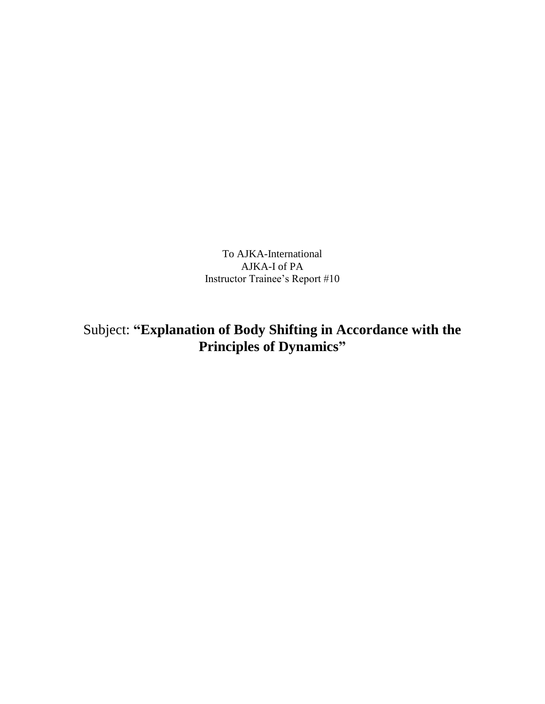To AJKA-International AJKA-I of PA Instructor Trainee's Report #10

Subject: **"Explanation of Body Shifting in Accordance with the Principles of Dynamics"**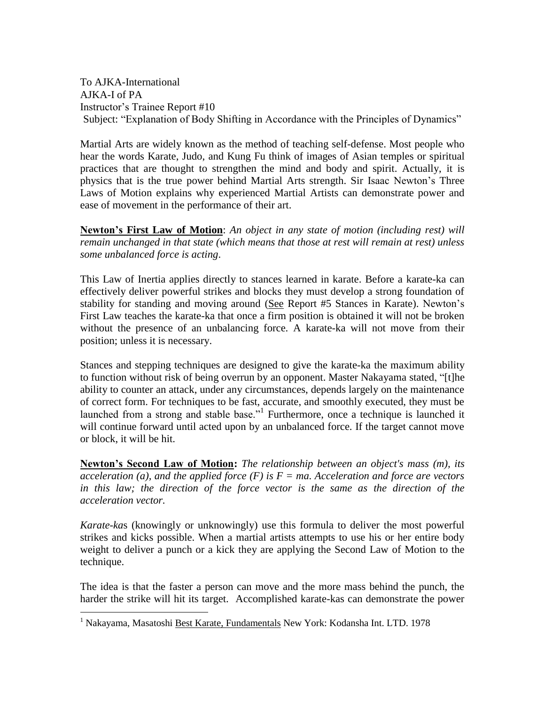To AJKA-International AJKA-I of PA Instructor's Trainee Report #10 Subject: "Explanation of Body Shifting in Accordance with the Principles of Dynamics"

Martial Arts are widely known as the method of teaching self-defense. Most people who hear the words Karate, Judo, and Kung Fu think of images of Asian temples or spiritual practices that are thought to strengthen the mind and body and spirit. Actually, it is physics that is the true power behind Martial Arts strength. Sir Isaac Newton's Three Laws of Motion explains why experienced Martial Artists can demonstrate power and ease of movement in the performance of their art.

**Newton's First Law of Motion**: *An object in any state of motion (including rest) will remain unchanged in that state (which means that those at rest will remain at rest) unless some unbalanced force is acting*.

This Law of Inertia applies directly to stances learned in karate. Before a karate-ka can effectively deliver powerful strikes and blocks they must develop a strong foundation of stability for standing and moving around (See Report #5 Stances in Karate). Newton's First Law teaches the karate-ka that once a firm position is obtained it will not be broken without the presence of an unbalancing force. A karate-ka will not move from their position; unless it is necessary.

Stances and stepping techniques are designed to give the karate-ka the maximum ability to function without risk of being overrun by an opponent. Master Nakayama stated, "[t]he ability to counter an attack, under any circumstances, depends largely on the maintenance of correct form. For techniques to be fast, accurate, and smoothly executed, they must be launched from a strong and stable base."<sup>1</sup> Furthermore, once a technique is launched it will continue forward until acted upon by an unbalanced force. If the target cannot move or block, it will be hit.

**Newton's Second Law of Motion:** *The relationship between an object's mass (m), its acceleration (a), and the applied force (F) is F = ma. Acceleration and force are vectors in this law; the direction of the force vector is the same as the direction of the acceleration vector.*

*Karate-ka*s (knowingly or unknowingly) use this formula to deliver the most powerful strikes and kicks possible. When a martial artists attempts to use his or her entire body weight to deliver a punch or a kick they are applying the Second Law of Motion to the technique.

The idea is that the faster a person can move and the more mass behind the punch, the harder the strike will hit its target. Accomplished karate-kas can demonstrate the power

 $\overline{a}$ 

<sup>1</sup> Nakayama, Masatoshi Best Karate, Fundamentals New York: Kodansha Int. LTD. 1978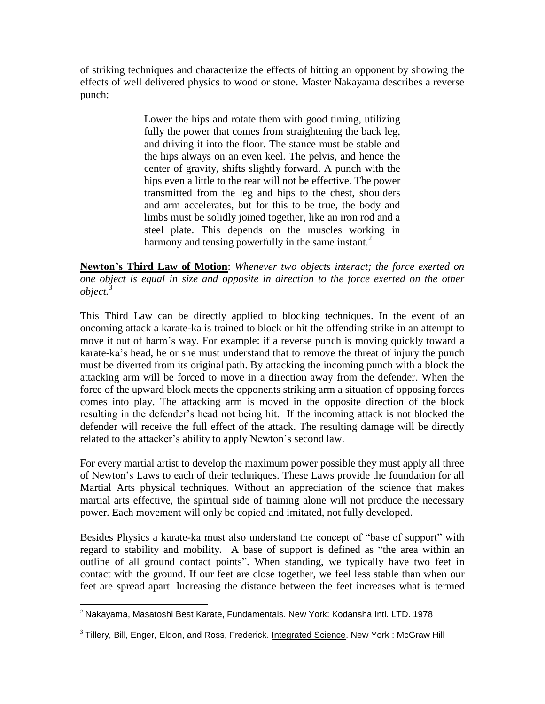of striking techniques and characterize the effects of hitting an opponent by showing the effects of well delivered physics to wood or stone. Master Nakayama describes a reverse punch:

> Lower the hips and rotate them with good timing, utilizing fully the power that comes from straightening the back leg, and driving it into the floor. The stance must be stable and the hips always on an even keel. The pelvis, and hence the center of gravity, shifts slightly forward. A punch with the hips even a little to the rear will not be effective. The power transmitted from the leg and hips to the chest, shoulders and arm accelerates, but for this to be true, the body and limbs must be solidly joined together, like an iron rod and a steel plate. This depends on the muscles working in harmony and tensing powerfully in the same instant.<sup>2</sup>

**Newton's Third Law of Motion**: *Whenever two objects interact; the force exerted on one object is equal in size and opposite in direction to the force exerted on the other object.*<sup>3</sup>

This Third Law can be directly applied to blocking techniques. In the event of an oncoming attack a karate-ka is trained to block or hit the offending strike in an attempt to move it out of harm's way. For example: if a reverse punch is moving quickly toward a karate-ka's head, he or she must understand that to remove the threat of injury the punch must be diverted from its original path. By attacking the incoming punch with a block the attacking arm will be forced to move in a direction away from the defender. When the force of the upward block meets the opponents striking arm a situation of opposing forces comes into play. The attacking arm is moved in the opposite direction of the block resulting in the defender's head not being hit. If the incoming attack is not blocked the defender will receive the full effect of the attack. The resulting damage will be directly related to the attacker's ability to apply Newton's second law.

For every martial artist to develop the maximum power possible they must apply all three of Newton's Laws to each of their techniques. These Laws provide the foundation for all Martial Arts physical techniques. Without an appreciation of the science that makes martial arts effective, the spiritual side of training alone will not produce the necessary power. Each movement will only be copied and imitated, not fully developed.

Besides Physics a karate-ka must also understand the concept of "base of support" with regard to stability and mobility. A base of support is defined as "the area within an outline of all ground contact points". When standing, we typically have two feet in contact with the ground. If our feet are close together, we feel less stable than when our feet are spread apart. Increasing the distance between the feet increases what is termed

 $\overline{a}$ <sup>2</sup> Nakayama, Masatoshi Best Karate, Fundamentals. New York: Kodansha Intl. LTD. 1978

 $3$  Tillery, Bill, Enger, Eldon, and Ross, Frederick. Integrated Science. New York : McGraw Hill